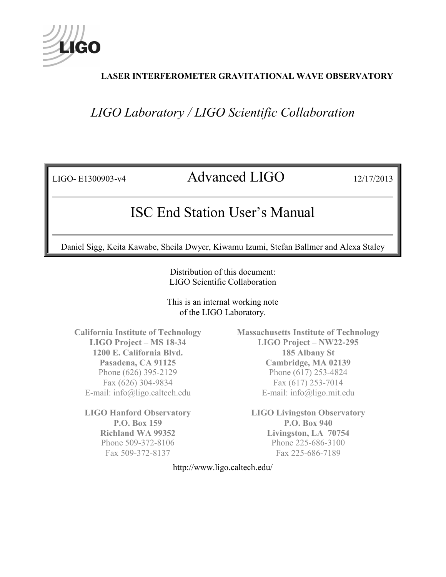

# **LASER INTERFEROMETER GRAVITATIONAL WAVE OBSERVATORY**

*LIGO Laboratory / LIGO Scientific Collaboration*

LIGO- E1300903-v4 Advanced LIGO 12/17/2013

# ISC End Station User's Manual

Daniel Sigg, Keita Kawabe, Sheila Dwyer, Kiwamu Izumi, Stefan Ballmer and Alexa Staley

Distribution of this document: LIGO Scientific Collaboration

This is an internal working note of the LIGO Laboratory.

**California Institute of Technology LIGO Project – MS 18-34 1200 E. California Blvd. Pasadena, CA 91125** Phone (626) 395-2129 Fax (626) 304-9834 E-mail: info@ligo.caltech.edu

**LIGO Hanford Observatory P.O. Box 159 Richland WA 99352** Phone 509-372-8106 Fax 509-372-8137

**Massachusetts Institute of Technology LIGO Project – NW22-295 185 Albany St Cambridge, MA 02139** Phone (617) 253-4824 Fax (617) 253-7014 E-mail: info@ligo.mit.edu

**LIGO Livingston Observatory P.O. Box 940 Livingston, LA 70754** Phone 225-686-3100 Fax 225-686-7189

http://www.ligo.caltech.edu/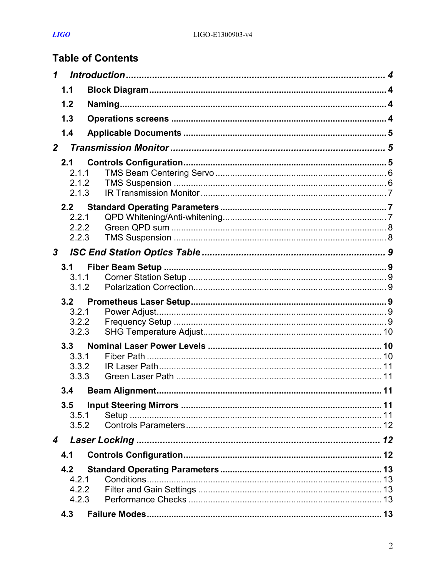# **Table of Contents**

| $\mathbf 1$             |                                                |    |  |
|-------------------------|------------------------------------------------|----|--|
|                         | 1.1                                            |    |  |
|                         | 1.2                                            |    |  |
|                         | 1.3                                            |    |  |
|                         | 1.4                                            |    |  |
| $\overline{2}$          |                                                |    |  |
|                         | 2.1<br>2.1.1<br>2.1.2<br>2.1.3                 |    |  |
|                         | 2.2<br>2.2.1<br>2.2.2<br>2.2.3                 |    |  |
| $\overline{\mathbf{3}}$ |                                                |    |  |
|                         | 3.1<br>3.1.1<br>3.1.2<br>3.2<br>3.2.1<br>3.2.2 |    |  |
|                         | 3.2.3                                          |    |  |
|                         | 3.3<br>3.3.1<br>3.3.2<br>3.3.3                 |    |  |
|                         | 3.4                                            |    |  |
|                         | 3.5<br>3.5.1<br>3.5.2                          |    |  |
| 4                       |                                                |    |  |
|                         | 4.1                                            |    |  |
|                         | 4.2<br>4.2.1<br>4.2.2<br>4.2.3                 |    |  |
|                         |                                                | 13 |  |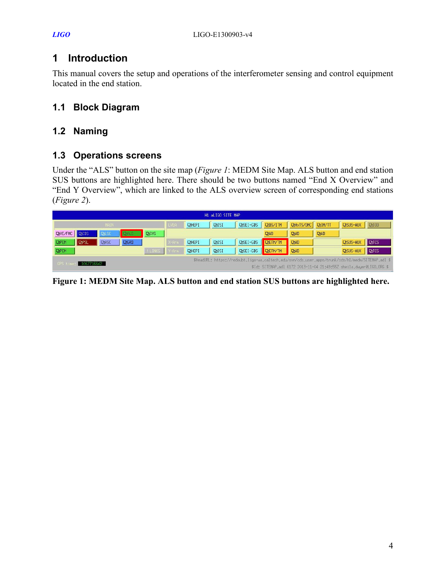# <span id="page-3-0"></span>**1 Introduction**

This manual covers the setup and operations of the interferometer sensing and control equipment located in the end station.

# <span id="page-3-1"></span>**1.1 Block Diagram**

# <span id="page-3-2"></span>**1.2 Naming**

# <span id="page-3-3"></span>**1.3 Operations screens**

Under the "ALS" button on the site map (*Figure 1*[: MEDM Site Map. ALS button and end station](#page-3-4)  [SUS buttons are highlighted here.](#page-3-4) There should be two buttons named "End X Overview" and "End Y Overview", which are linked to the ALS overview screen of corresponding end stations (*[Figure 2](#page-4-3)*).

| H1 aLIGO SITE MAP                                                                                                                                                                                |              |              |               |              |              |                  |                  |                         |             |                 |                  |              |
|--------------------------------------------------------------------------------------------------------------------------------------------------------------------------------------------------|--------------|--------------|---------------|--------------|--------------|------------------|------------------|-------------------------|-------------|-----------------|------------------|--------------|
| MAIN.                                                                                                                                                                                            |              |              |               | <b>QHEPI</b> | <b>DISI</b>  | <b>QDSEI-GDS</b> | <b>ChBS/ITM</b>  | <b>QHxTS/OMC QIM/TT</b> |             | <b>QSUS-AUX</b> | <b>D100</b>      |              |
| $\blacksquare$<br><b>QVE/FMC</b>                                                                                                                                                                 | <b>QLSC</b>  | QALS         | <b>ChSYS</b>  |              |              |                  |                  | <b>QhUD</b>             | <b>Chup</b> | <b>QND</b>      |                  |              |
| <b>QPSL</b><br><b>QPEM</b>                                                                                                                                                                       | <b>QIASC</b> | <b>ChGRD</b> |               | X-Ann        | <b>QHEPI</b> | <b>DISI</b>      | <b>QDSEI-GDS</b> | <b>DETM/TM</b>          | <b>Qub</b>  |                 | <b>Q</b> SUS-AUX | <b>Q</b> TCS |
| <b>QPEM</b>                                                                                                                                                                                      |              |              | <b>ILINKS</b> |              | <b>DHEPI</b> | <b>DISI</b>      | <b>QDSEI-GDS</b> | <b>DETM/TM</b>          | <b>QuD</b>  |                 | <b>ChSUS-AUX</b> | <b>Q</b> TCS |
| \$HeadURL: https://redoubt.ligo-wa.caltech.edu/svn/cds_user_apps/trunk/cds/h1/medm/SITEMAP.adl \$<br>1067716642<br>GPS t<br>\$Id: SITEMAP.adl 6172 2013-11-04 21:49:55Z sheila.dwyer@LIGO.ORG \$ |              |              |               |              |              |                  |                  |                         |             |                 |                  |              |

<span id="page-3-4"></span>**Figure 1: MEDM Site Map. ALS button and end station SUS buttons are highlighted here.**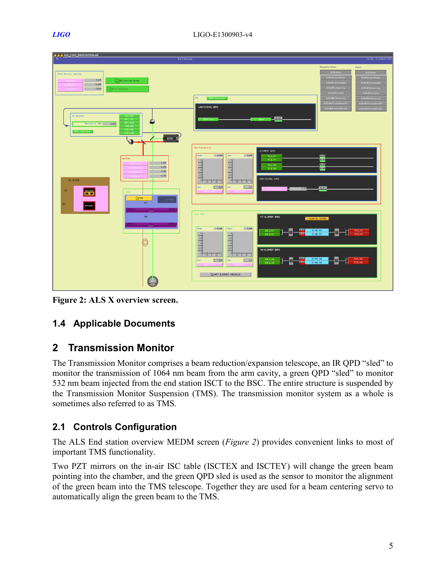| <b>K &amp; B ALS_CUST_ENDSTATION.adl</b>                                                                                                                                                                                                                                                                             |                                                                                                                                                                                                                                                                                                                                                                                                                                                                                                                                                                                                                                                                                                                                                                                                                                                                                                                                                                                                                                                                                                                                                                                                                                                                          |                                                                                                                                                                                                                                                                                                                                                                                                                        |
|----------------------------------------------------------------------------------------------------------------------------------------------------------------------------------------------------------------------------------------------------------------------------------------------------------------------|--------------------------------------------------------------------------------------------------------------------------------------------------------------------------------------------------------------------------------------------------------------------------------------------------------------------------------------------------------------------------------------------------------------------------------------------------------------------------------------------------------------------------------------------------------------------------------------------------------------------------------------------------------------------------------------------------------------------------------------------------------------------------------------------------------------------------------------------------------------------------------------------------------------------------------------------------------------------------------------------------------------------------------------------------------------------------------------------------------------------------------------------------------------------------------------------------------------------------------------------------------------------------|------------------------------------------------------------------------------------------------------------------------------------------------------------------------------------------------------------------------------------------------------------------------------------------------------------------------------------------------------------------------------------------------------------------------|
| End X Overview                                                                                                                                                                                                                                                                                                       |                                                                                                                                                                                                                                                                                                                                                                                                                                                                                                                                                                                                                                                                                                                                                                                                                                                                                                                                                                                                                                                                                                                                                                                                                                                                          | Tue Nov 5 11:16:00 2013                                                                                                                                                                                                                                                                                                                                                                                                |
| Power Monitors Overview<br>0.116<br><b>THES Overview Screen</b><br>$-1,903$<br>$-3,119$<br>RLS-X subsystems<br><b>PLL Honitors</b><br>REFL_ERR                                                                                                                                                                       | PBH<br>LONGITUIDINAL SERVO                                                                                                                                                                                                                                                                                                                                                                                                                                                                                                                                                                                                                                                                                                                                                                                                                                                                                                                                                                                                                                                                                                                                                                                                                                               | Requested State:<br>State:<br><b>ALSEndSafe</b><br><b>ALSEndSaFe</b><br>ALSEndInvalidState<br>ALSEndInvalidState<br>ALSEndPLLDisengaged<br>ALSEndPLLD1sengaged<br><b>ALSEndPLLAcquiring</b><br><b>ALSEndPLLAcquiring</b><br>ALSEndPLLLocked<br>ALSEndPLLLocked<br>ALSEndRef1Acquiring<br>HLSEndRef1Acquiring<br>FLSEndRef1LockedS1ou0FF<br>ALSEndRefILockedSlowOff<br>ALSEndRef1LockedS1ou0n<br>ALSEndRefILockedSlowOn |
| REFL_CTR.<br>REFL.SLOV<br>Beatrate at (NE) 0,000<br>FIBR_ERR<br>FIBR CTRL<br><b>QPLL Autolocker</b><br>F18R_SL0W<br>$\mathbb{R}$ $\mathbb{R}$<br>Red Path<br>1,602<br>$-1,201$<br>0.011<br>$-3.292$<br>BSC SEISMIC<br>$_{\rm{ISI}}$<br>WATCHDOG<br>STO 378<br>THSH<br><b>Christ</b><br>---<br>PIT<br>HPT<br>WATCHDOG | CAVOFF<br><b>PPBH</b> slow<br><b>D</b> iArry<br>Red Transmission<br>ALIGNMENT SERVO<br>0,000<br>0,000<br>NSun:<br>Sun:<br>TR_A_PIT<br>TR_B_PIT<br>$\begin{array}{cccccc} 2 & 2 & 2 & 2 \\ 3 & 2 & 2 & 2 \\ \frac{1}{2} & 1 & 1 & 1 \\ 4 & 1 & 1 & 1 \\ \end{array}$<br>TR_A_YAV<br>TR_B_YAM<br>a.<br>LONGITUIDINAL SERVO<br>$\frac{1}{2}$<br>0,0<br>$\begin{array}{ c c } \hline 0.0 \\ \hline \end{array}$<br>un:<br>2,721<br><b>Children</b> All                                                                                                                                                                                                                                                                                                                                                                                                                                                                                                                                                                                                                                                                                                                                                                                                                       | <b>RATE</b><br><b>IN/OFF</b><br><b>RATE</b><br><b>INZDER</b><br>CN/OFF                                                                                                                                                                                                                                                                                                                                                 |
| $\overline{ }$<br>YAM<br>00010<br><b>COL</b><br>Î                                                                                                                                                                                                                                                                    | Green OPBs<br>PIT ALIGNMENT SERVO<br>I CLEAR ALL HISTORY<br>0,000<br>0,000<br>NSun:<br>NSun:<br><b>IN/OFF</b><br>IP POS PIT<br><b>GPB_A_PIT</b><br><b>INVOLUS</b><br>IP ANG PIT<br>$\begin{array}{cccccc} \mathcal{L} & \mathcal{L} & \mathcal{L} & \mathcal{L} \\ \mathcal{L} & \mathcal{L} & \mathcal{L} & \mathcal{L} & \mathcal{L} \\ \mathcal{L} & \mathcal{L} & \mathcal{L} & \mathcal{L} & \mathcal{L} \\ \mathcal{L} & \mathcal{L} & \mathcal{L} & \mathcal{L} & \mathcal{L} \\ \mathcal{L} & \mathcal{L} & \mathcal{L} & \mathcal{L} & \mathcal{L} \\ \mathcal{L} & \mathcal{L} & \mathcal{L} & \mathcal{L} & \mathcal{L} \\ \mathcal{L} & \math$<br>$\begin{array}{cccccc} 2 & 2 & 2 & 2 \\ 2 & 2 & 2 & 2 \\ 3 & 4 & 1 & 1 \\ 4 & 1 & 1 & 1 \\ 5 & 6 & 1 & 1 \\ 6 & 1 & 1 & 1 \\ 7 & 8 & 1 & 1 \\ 8 & 1 & 1 & 1 \\ 1 & 1 & 1 & 1 \\ 1 & 1 & 1 & 1 \\ 1 & 1 & 1 & 1 \\ 1 & 1 & 1 & 1 \\ 1 & 1 & 1 & 1 \\ 1 & 1 & 1 & 1 \\ 1 & 1 & 1 & 1 \\ 1 & 1 & 1 & 1 \\ 1 & 1 & 1 & 1 \\ 1 & 1 & 1$<br>CPD_B_P1T<br>$\epsilon$<br>÷.<br>YAN ALIGNMENT SERVO<br>$\frac{1}{1}$<br>N/OFF<br>IP POS YAN<br>CPD_A_YAU<br>0.0<br>$\begin{array}{ c c } \hline 0,0 \end{array}$<br>Sun:<br>Sun:<br><b>IRKOEN</b><br>IP ANG YAN<br>OPD_B_YAU<br><b>QHINPUT ALIGNMENT THRESHOLDS</b> | PZT1_PIT<br>田<br>PZT2_PIT<br>PZT1_YAU<br>P2T2_YAU                                                                                                                                                                                                                                                                                                                                                                      |

<span id="page-4-3"></span>**Figure 2: ALS X overview screen.**

# <span id="page-4-0"></span>**1.4 Applicable Documents**

# <span id="page-4-1"></span>**2 Transmission Monitor**

The Transmission Monitor comprises a beam reduction/expansion telescope, an IR QPD "sled" to monitor the transmission of 1064 nm beam from the arm cavity, a green QPD "sled" to monitor 532 nm beam injected from the end station ISCT to the BSC. The entire structure is suspended by the Transmission Monitor Suspension (TMS). The transmission monitor system as a whole is sometimes also referred to as TMS.

# <span id="page-4-2"></span>**2.1 Controls Configuration**

The ALS End station overview MEDM screen (*[Figure 2](#page-4-3)*) provides convenient links to most of important TMS functionality.

Two PZT mirrors on the in-air ISC table (ISCTEX and ISCTEY) will change the green beam pointing into the chamber, and the green QPD sled is used as the sensor to monitor the alignment of the green beam into the TMS telescope. Together they are used for a beam centering servo to automatically align the green beam to the TMS.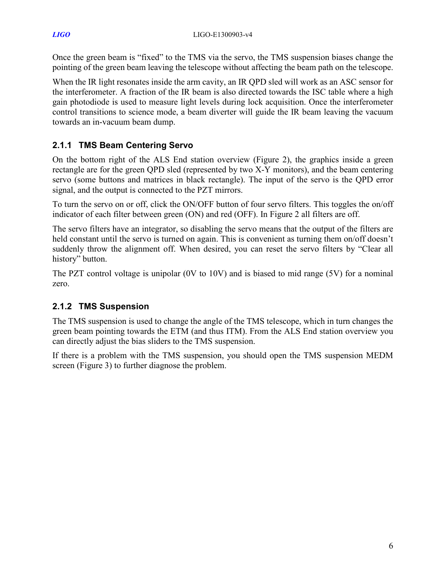Once the green beam is "fixed" to the TMS via the servo, the TMS suspension biases change the pointing of the green beam leaving the telescope without affecting the beam path on the telescope.

When the IR light resonates inside the arm cavity, an IR QPD sled will work as an ASC sensor for the interferometer. A fraction of the IR beam is also directed towards the ISC table where a high gain photodiode is used to measure light levels during lock acquisition. Once the interferometer control transitions to science mode, a beam diverter will guide the IR beam leaving the vacuum towards an in-vacuum beam dump.

# <span id="page-5-0"></span>**2.1.1 TMS Beam Centering Servo**

On the bottom right of the ALS End station overview [\(Figure 2\)](#page-4-3), the graphics inside a green rectangle are for the green QPD sled (represented by two X-Y monitors), and the beam centering servo (some buttons and matrices in black rectangle). The input of the servo is the QPD error signal, and the output is connected to the PZT mirrors.

To turn the servo on or off, click the ON/OFF button of four servo filters. This toggles the on/off indicator of each filter between green (ON) and red (OFF). In [Figure 2](#page-4-3) all filters are off.

The servo filters have an integrator, so disabling the servo means that the output of the filters are held constant until the servo is turned on again. This is convenient as turning them on/off doesn't suddenly throw the alignment off. When desired, you can reset the servo filters by "Clear all history" button.

The PZT control voltage is unipolar (0V to 10V) and is biased to mid range (5V) for a nominal zero.

### <span id="page-5-1"></span>**2.1.2 TMS Suspension**

The TMS suspension is used to change the angle of the TMS telescope, which in turn changes the green beam pointing towards the ETM (and thus ITM). From the ALS End station overview you can directly adjust the bias sliders to the TMS suspension.

If there is a problem with the TMS suspension, you should open the TMS suspension MEDM screen [\(Figure 3\)](#page-6-3) to further diagnose the problem.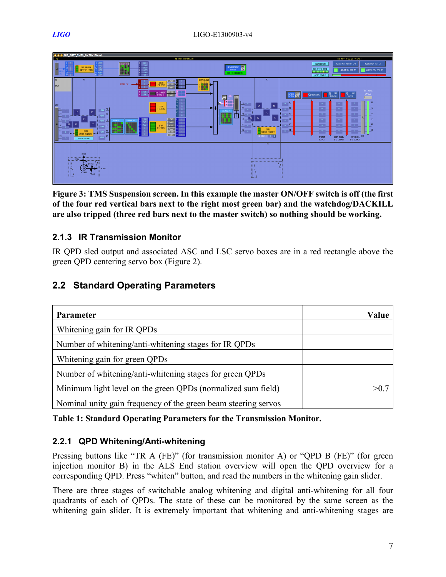

<span id="page-6-3"></span>**Figure 3: TMS Suspension screen. In this example the master ON/OFF switch is off (the first of the four red vertical bars next to the right most green bar) and the watchdog/DACKILL are also tripped (three red bars next to the master switch) so nothing should be working.**

#### <span id="page-6-0"></span>**2.1.3 IR Transmission Monitor**

IR QPD sled output and associated ASC and LSC servo boxes are in a red rectangle above the green QPD centering servo box [\(Figure 2\)](#page-4-3).

# <span id="page-6-1"></span>**2.2 Standard Operating Parameters**

| <b>Parameter</b>                                               | Value |
|----------------------------------------------------------------|-------|
| Whitening gain for IR QPDs                                     |       |
| Number of whitening/anti-whitening stages for IR QPDs          |       |
| Whitening gain for green QPDs                                  |       |
| Number of whitening/anti-whitening stages for green QPDs       |       |
| Minimum light level on the green QPDs (normalized sum field)   |       |
| Nominal unity gain frequency of the green beam steering servos |       |

<span id="page-6-4"></span>**Table 1: Standard Operating Parameters for the Transmission Monitor.** 

### <span id="page-6-2"></span>**2.2.1 QPD Whitening/Anti-whitening**

Pressing buttons like "TR A (FE)" (for transmission monitor A) or "QPD B (FE)" (for green injection monitor B) in the ALS End station overview will open the QPD overview for a corresponding QPD. Press "whiten" button, and read the numbers in the whitening gain slider.

There are three stages of switchable analog whitening and digital anti-whitening for all four quadrants of each of QPDs. The state of these can be monitored by the same screen as the whitening gain slider. It is extremely important that whitening and anti-whitening stages are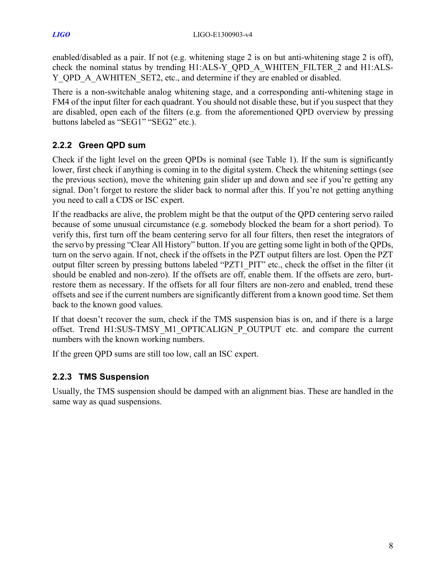enabled/disabled as a pair. If not (e.g. whitening stage 2 is on but anti-whitening stage 2 is off), check the nominal status by trending H1:ALS-Y\_QPD\_A\_WHITEN\_FILTER\_2 and H1:ALS-Y\_QPD\_A\_AWHITEN\_SET2, etc., and determine if they are enabled or disabled.

There is a non-switchable analog whitening stage, and a corresponding anti-whitening stage in FM4 of the input filter for each quadrant. You should not disable these, but if you suspect that they are disabled, open each of the filters (e.g. from the aforementioned QPD overview by pressing buttons labeled as "SEG1" "SEG2" etc.).

# <span id="page-7-0"></span>**2.2.2 Green QPD sum**

Check if the light level on the green QPDs is nominal (see [Table 1\)](#page-6-4). If the sum is significantly lower, first check if anything is coming in to the digital system. Check the whitening settings (see the previous section), move the whitening gain slider up and down and see if you're getting any signal. Don't forget to restore the slider back to normal after this. If you're not getting anything you need to call a CDS or ISC expert.

If the readbacks are alive, the problem might be that the output of the QPD centering servo railed because of some unusual circumstance (e.g. somebody blocked the beam for a short period). To verify this, first turn off the beam centering servo for all four filters, then reset the integrators of the servo by pressing "Clear All History" button. If you are getting some light in both of the QPDs, turn on the servo again. If not, check if the offsets in the PZT output filters are lost. Open the PZT output filter screen by pressing buttons labeled "PZT1\_PIT" etc., check the offset in the filter (it should be enabled and non-zero). If the offsets are off, enable them. If the offsets are zero, burtrestore them as necessary. If the offsets for all four filters are non-zero and enabled, trend these offsets and see if the current numbers are significantly different from a known good time. Set them back to the known good values.

If that doesn't recover the sum, check if the TMS suspension bias is on, and if there is a large offset. Trend H1:SUS-TMSY\_M1\_OPTICALIGN\_P\_OUTPUT etc. and compare the current numbers with the known working numbers.

<span id="page-7-1"></span>If the green QPD sums are still too low, call an ISC expert.

### **2.2.3 TMS Suspension**

Usually, the TMS suspension should be damped with an alignment bias. These are handled in the same way as quad suspensions.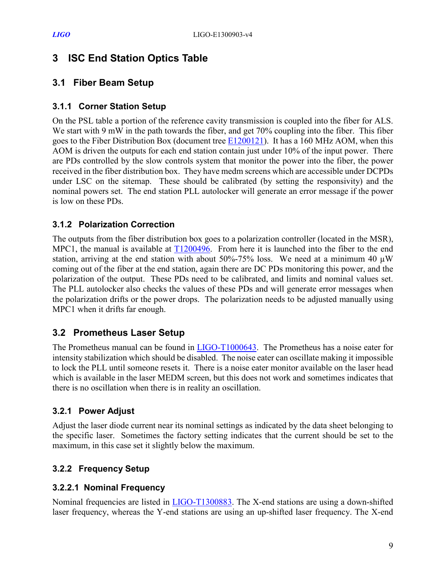# <span id="page-8-0"></span>**3 ISC End Station Optics Table**

### <span id="page-8-1"></span>**3.1 Fiber Beam Setup**

#### <span id="page-8-2"></span>**3.1.1 Corner Station Setup**

On the PSL table a portion of the reference cavity transmission is coupled into the fiber for ALS. We start with 9 mW in the path towards the fiber, and get 70% coupling into the fiber. This fiber goes to the Fiber Distribution Box (document tree [E1200121\)](https://dcc.ligo.org/LIGO-E1200121). It has a 160 MHz AOM, when this AOM is driven the outputs for each end station contain just under 10% of the input power. There are PDs controlled by the slow controls system that monitor the power into the fiber, the power received in the fiber distribution box. They have medm screens which are accessible under DCPDs under LSC on the sitemap. These should be calibrated (by setting the responsivity) and the nominal powers set. The end station PLL autolocker will generate an error message if the power is low on these PDs.

#### <span id="page-8-3"></span>**3.1.2 Polarization Correction**

The outputs from the fiber distribution box goes to a polarization controller (located in the MSR), MPC1, the manual is available at [T1200496.](https://dcc.ligo.org/LIGO-T1200496) From here it is launched into the fiber to the end station, arriving at the end station with about 50%-75% loss. We need at a minimum 40  $\mu$ W coming out of the fiber at the end station, again there are DC PDs monitoring this power, and the polarization of the output. These PDs need to be calibrated, and limits and nominal values set. The PLL autolocker also checks the values of these PDs and will generate error messages when the polarization drifts or the power drops. The polarization needs to be adjusted manually using MPC1 when it drifts far enough.

### <span id="page-8-4"></span>**3.2 Prometheus Laser Setup**

The Prometheus manual can be found in [LIGO-T1000643.](https://dcc.ligo.org/LIGO-T1000643) The Prometheus has a noise eater for intensity stabilization which should be disabled. The noise eater can oscillate making it impossible to lock the PLL until someone resets it. There is a noise eater monitor available on the laser head which is available in the laser MEDM screen, but this does not work and sometimes indicates that there is no oscillation when there is in reality an oscillation.

#### <span id="page-8-5"></span>**3.2.1 Power Adjust**

Adjust the laser diode current near its nominal settings as indicated by the data sheet belonging to the specific laser. Sometimes the factory setting indicates that the current should be set to the maximum, in this case set it slightly below the maximum.

### <span id="page-8-6"></span>**3.2.2 Frequency Setup**

#### **3.2.2.1 Nominal Frequency**

Nominal frequencies are listed in [LIGO-T1300883.](https://dcc.ligo.org/T1300883) The X-end stations are using a down-shifted laser frequency, whereas the Y-end stations are using an up-shifted laser frequency. The X-end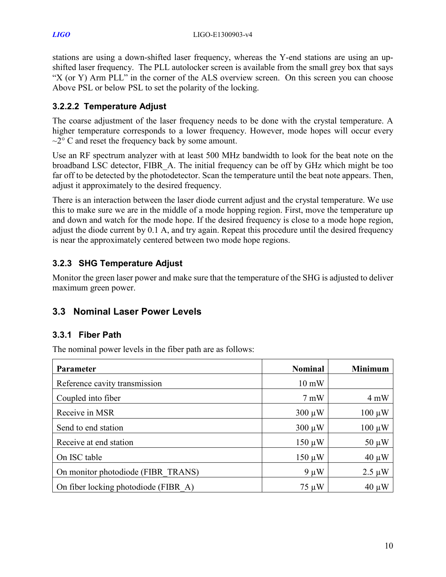stations are using a down-shifted laser frequency, whereas the Y-end stations are using an upshifted laser frequency. The PLL autolocker screen is available from the small grey box that says "X (or Y) Arm PLL" in the corner of the ALS overview screen. On this screen you can choose Above PSL or below PSL to set the polarity of the locking.

#### **3.2.2.2 Temperature Adjust**

The coarse adjustment of the laser frequency needs to be done with the crystal temperature. A higher temperature corresponds to a lower frequency. However, mode hopes will occur every  $\sim$ 2° C and reset the frequency back by some amount.

Use an RF spectrum analyzer with at least 500 MHz bandwidth to look for the beat note on the broadband LSC detector, FIBR\_A. The initial frequency can be off by GHz which might be too far off to be detected by the photodetector. Scan the temperature until the beat note appears. Then, adjust it approximately to the desired frequency.

There is an interaction between the laser diode current adjust and the crystal temperature. We use this to make sure we are in the middle of a mode hopping region. First, move the temperature up and down and watch for the mode hope. If the desired frequency is close to a mode hope region, adjust the diode current by 0.1 A, and try again. Repeat this procedure until the desired frequency is near the approximately centered between two mode hope regions.

### <span id="page-9-0"></span>**3.2.3 SHG Temperature Adjust**

Monitor the green laser power and make sure that the temperature of the SHG is adjusted to deliver maximum green power.

### <span id="page-9-1"></span>**3.3 Nominal Laser Power Levels**

#### <span id="page-9-2"></span>**3.3.1 Fiber Path**

The nominal power levels in the fiber path are as follows:

| <b>Parameter</b>                     | <b>Nominal</b>  | <b>Minimum</b> |
|--------------------------------------|-----------------|----------------|
| Reference cavity transmission        | $10 \text{ mW}$ |                |
| Coupled into fiber                   | $7 \text{ mW}$  | 4 mW           |
| Receive in MSR                       | $300 \mu W$     | $100 \mu W$    |
| Send to end station                  | $300 \mu W$     | $100 \mu W$    |
| Receive at end station               | $150 \mu W$     | $50 \mu W$     |
| On ISC table                         | $150 \mu W$     | $40 \mu W$     |
| On monitor photodiode (FIBR TRANS)   | $9 \mu W$       | $2.5 \mu W$    |
| On fiber locking photodiode (FIBR A) | $75 \mu W$      | $40 \mu W$     |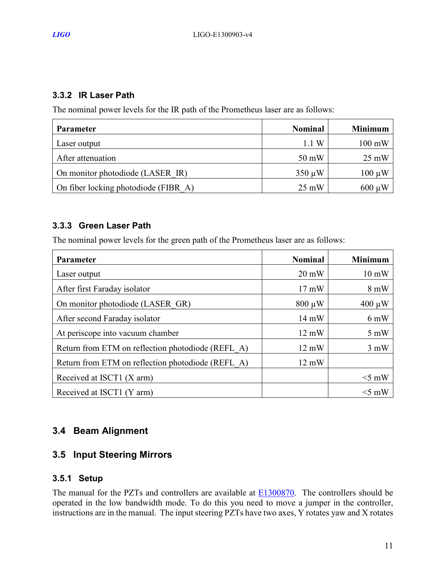#### <span id="page-10-0"></span>**3.3.2 IR Laser Path**

The nominal power levels for the IR path of the Prometheus laser are as follows:

| <b>Parameter</b>                     | <b>Nominal</b>  | <b>Minimum</b>  |
|--------------------------------------|-----------------|-----------------|
| Laser output                         | 1.1W            | 100 mW          |
| After attenuation                    | 50 mW           | $25 \text{ mW}$ |
| On monitor photodiode (LASER IR)     | $350 \mu W$     | $100 \mu W$     |
| On fiber locking photodiode (FIBR A) | $25 \text{ mW}$ | $600 \mu W$     |

#### <span id="page-10-1"></span>**3.3.3 Green Laser Path**

The nominal power levels for the green path of the Prometheus laser are as follows:

| Parameter                                         | <b>Nominal</b>  | <b>Minimum</b>  |
|---------------------------------------------------|-----------------|-----------------|
| Laser output                                      | $20 \text{ mW}$ | $10 \text{ mW}$ |
| After first Faraday isolator                      | $17 \text{ mW}$ | $8 \text{ mW}$  |
| On monitor photodiode (LASER GR)                  | $800 \mu W$     | $400 \mu W$     |
| After second Faraday isolator                     | $14 \text{ mW}$ | 6 mW            |
| At periscope into vacuum chamber                  | $12 \text{ mW}$ | $5 \text{ mW}$  |
| Return from ETM on reflection photodiode (REFL A) | $12 \text{ mW}$ | $3 \text{ mW}$  |
| Return from ETM on reflection photodiode (REFL A) | $12 \text{ mW}$ |                 |
| Received at ISCT1 (X arm)                         |                 | $<$ 5 mW        |
| Received at ISCT1 (Y arm)                         |                 | $<$ 5 mW        |

### <span id="page-10-2"></span>**3.4 Beam Alignment**

### <span id="page-10-3"></span>**3.5 Input Steering Mirrors**

#### <span id="page-10-4"></span>**3.5.1 Setup**

The manual for the PZTs and controllers are available at [E1300870.](https://dcc.ligo.org/LIGO-E1300870) The controllers should be operated in the low bandwidth mode. To do this you need to move a jumper in the controller, instructions are in the manual. The input steering PZTs have two axes, Y rotates yaw and X rotates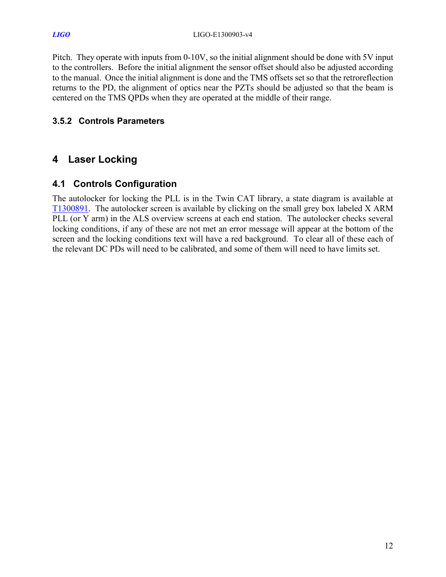Pitch. They operate with inputs from 0-10V, so the initial alignment should be done with 5V input to the controllers. Before the initial alignment the sensor offset should also be adjusted according to the manual. Once the initial alignment is done and the TMS offsets set so that the retroreflection returns to the PD, the alignment of optics near the PZTs should be adjusted so that the beam is centered on the TMS QPDs when they are operated at the middle of their range.

#### <span id="page-11-0"></span>**3.5.2 Controls Parameters**

# <span id="page-11-1"></span>**4 Laser Locking**

# <span id="page-11-2"></span>**4.1 Controls Configuration**

The autolocker for locking the PLL is in the Twin CAT library, a state diagram is available at [T1300891.](https://dcc.ligo.org/LIGO-T1300891) The autolocker screen is available by clicking on the small grey box labeled X ARM PLL (or Y arm) in the ALS overview screens at each end station. The autolocker checks several locking conditions, if any of these are not met an error message will appear at the bottom of the screen and the locking conditions text will have a red background. To clear all of these each of the relevant DC PDs will need to be calibrated, and some of them will need to have limits set.